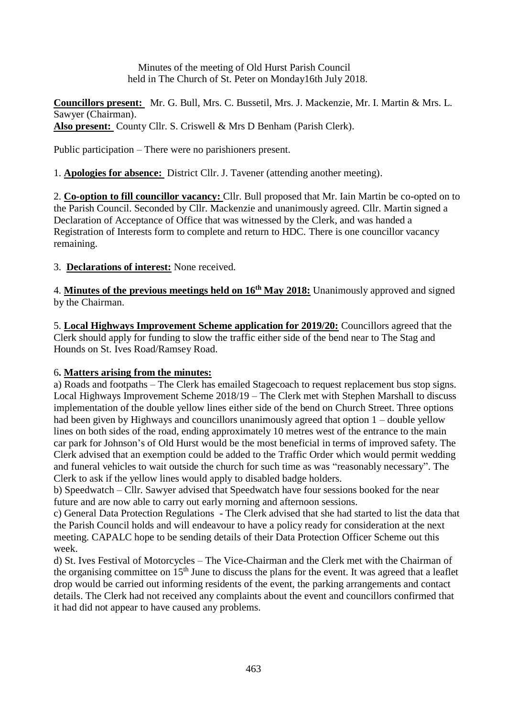Minutes of the meeting of Old Hurst Parish Council held in The Church of St. Peter on Monday16th July 2018.

**Councillors present:** Mr. G. Bull, Mrs. C. Bussetil, Mrs. J. Mackenzie, Mr. I. Martin & Mrs. L. Sawyer (Chairman). **Also present:** County Cllr. S. Criswell & Mrs D Benham (Parish Clerk).

Public participation – There were no parishioners present.

1. **Apologies for absence:** District Cllr. J. Tavener (attending another meeting).

2. **Co-option to fill councillor vacancy:** Cllr. Bull proposed that Mr. Iain Martin be co-opted on to the Parish Council. Seconded by Cllr. Mackenzie and unanimously agreed. Cllr. Martin signed a Declaration of Acceptance of Office that was witnessed by the Clerk, and was handed a Registration of Interests form to complete and return to HDC. There is one councillor vacancy remaining.

3. **Declarations of interest:** None received.

4. **Minutes of the previous meetings held on 16th May 2018:** Unanimously approved and signed by the Chairman.

5. **Local Highways Improvement Scheme application for 2019/20:** Councillors agreed that the Clerk should apply for funding to slow the traffic either side of the bend near to The Stag and Hounds on St. Ives Road/Ramsey Road.

# 6**. Matters arising from the minutes:**

a) Roads and footpaths – The Clerk has emailed Stagecoach to request replacement bus stop signs. Local Highways Improvement Scheme 2018/19 – The Clerk met with Stephen Marshall to discuss implementation of the double yellow lines either side of the bend on Church Street. Three options had been given by Highways and councillors unanimously agreed that option  $1$  – double yellow lines on both sides of the road, ending approximately 10 metres west of the entrance to the main car park for Johnson's of Old Hurst would be the most beneficial in terms of improved safety. The Clerk advised that an exemption could be added to the Traffic Order which would permit wedding and funeral vehicles to wait outside the church for such time as was "reasonably necessary". The Clerk to ask if the yellow lines would apply to disabled badge holders.

b) Speedwatch – Cllr. Sawyer advised that Speedwatch have four sessions booked for the near future and are now able to carry out early morning and afternoon sessions.

c) General Data Protection Regulations - The Clerk advised that she had started to list the data that the Parish Council holds and will endeavour to have a policy ready for consideration at the next meeting. CAPALC hope to be sending details of their Data Protection Officer Scheme out this week.

d) St. Ives Festival of Motorcycles – The Vice-Chairman and the Clerk met with the Chairman of the organising committee on  $15<sup>th</sup>$  June to discuss the plans for the event. It was agreed that a leaflet drop would be carried out informing residents of the event, the parking arrangements and contact details. The Clerk had not received any complaints about the event and councillors confirmed that it had did not appear to have caused any problems.